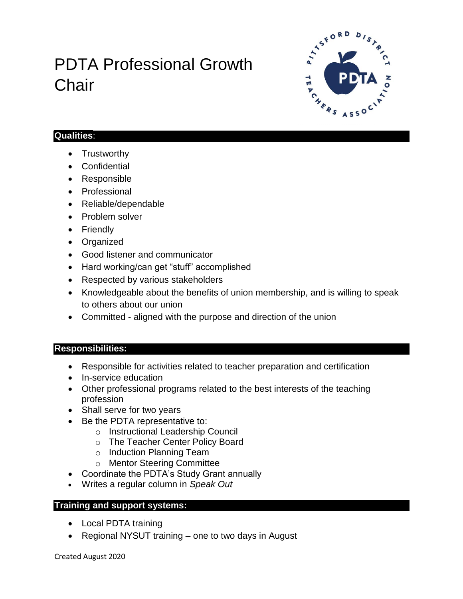# PDTA Professional Growth **Chair**



#### **Qualities**:

- Trustworthy
- Confidential
- Responsible
- Professional
- Reliable/dependable
- Problem solver
- Friendly
- Organized
- Good listener and communicator
- Hard working/can get "stuff" accomplished
- Respected by various stakeholders
- Knowledgeable about the benefits of union membership, and is willing to speak to others about our union
- Committed aligned with the purpose and direction of the union

### **Responsibilities:**

- Responsible for activities related to teacher preparation and certification
- In-service education
- Other professional programs related to the best interests of the teaching profession
- Shall serve for two years
- Be the PDTA representative to:
	- o Instructional Leadership Council
	- o The Teacher Center Policy Board
	- o Induction Planning Team
	- o Mentor Steering Committee
- Coordinate the PDTA's Study Grant annually
- Writes a regular column in *Speak Out*

### **Training and support systems:**

- Local PDTA training
- Regional NYSUT training one to two days in August